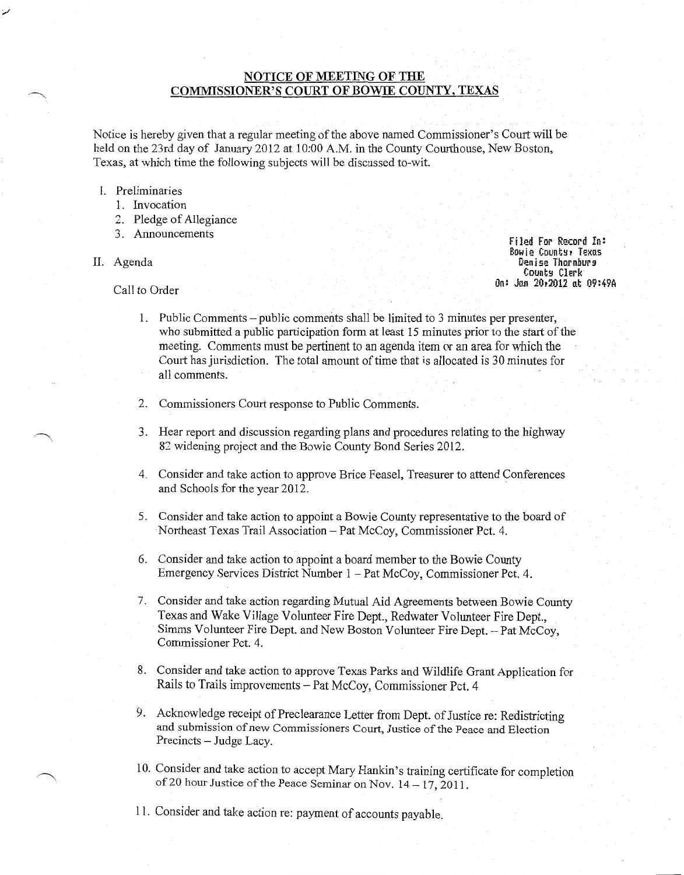# **NOTICE OF MEETING OF THE COMMISSIONER'S COURT OF BOWIE COUNTY, TEXAS**

Notice is hereby given that a regular meeting of the above named Commissioner's Court will be held on the 23rd day of January 2012 at 10:00 A.M. in the County Courthouse, New Boston, Texas, at which time the following subjects will be discussed to-wit.

### I. Preliminaries

- 1. Invocation
- 2. Pledge of Allegiance
- 3. Announcements
- II. Agenda

Filed For Record In: Bowie Count~, Texas Denise Thornburg County Clerk 0n: Jan 20,2012 at 09:49A

Call to Order

- 1. Public Comments -public comments shall be limited to 3 minutes per presenter, who submitted a public participation form at least 15 minutes prior to the start of the meeting. Comments must be pertinent to an agenda item or an area for which the Court has jurisdiction. The total amount of time that is allocated is 30 minutes for all comments.
- 2. Commissioners Court response to Public Comments.
- 3. Hear report and discussion regarding plans and procedures relating to the highway 82 widening project and the Bowie County Bond Series 2012.
- 4. Consider and take action to approve Brice Feasel, Treasurer to attend Conferences and Schools for the year 2012.
- 5. Consider and take action to appoint a Bowie County representative to the board of Northeast Texas Trail Association- Pat McCoy, Commissioner Pet. 4.
- 6. Consider and take action to appoint a board member to the Bowie County Emergency Services District Number 1 -Pat McCoy, Commissioner Pet. 4.
- 7. Consider and take action regarding Mutual Aid Agreements between Bowie County Texas and Wake Village Volunteer Fire Dept., Redwater Volunteer Fire Dept., Simms Volunteer Fire Dept. and New Boston Volunteer Fire Dept.- Pat McCoy, Commissioner Pet. 4.
- 8. Consider and take action to approve Texas Parks and Wildlife Grant Application for Rails to Trails improvements -Pat McCoy, Commissioner Pet. 4
- 9. Acknowledge receipt of Preclearance Letter from Dept. of Justice re: Redistricting and submission of new Commissioners Court, Justice of the Peace and Election Precincts- Judge Lacy.
- 10. Consider and take action to accept Mary Hankin's training certificate for completion of20 hour Justice of the Peace Seminar on Nov. 14- 17, 2011.
- 11. Consider and take action re: payment of accounts payable.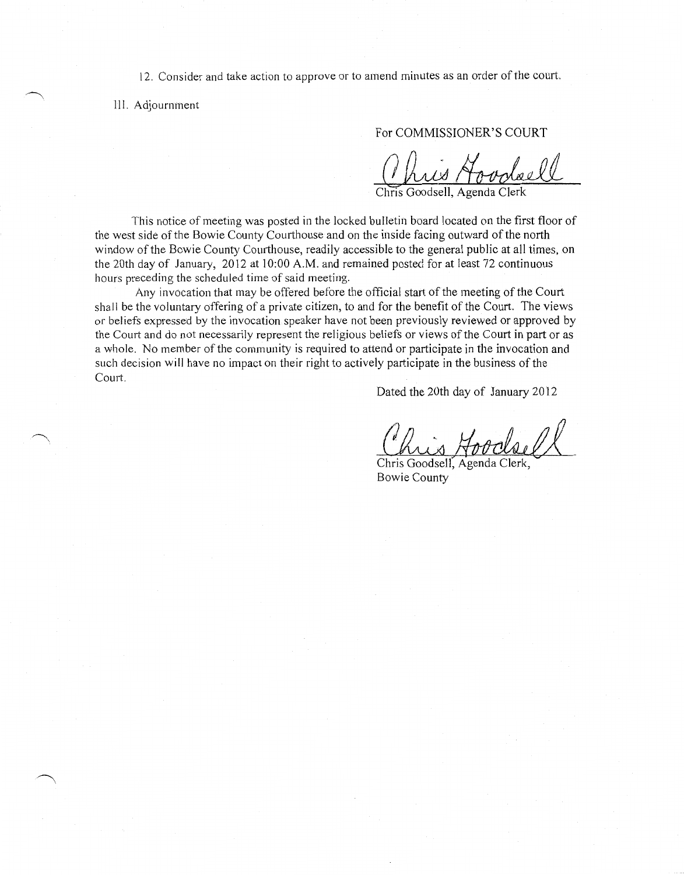12. Consider and take action to approve or to amend minutes as an order of the court.

III. Adjournment

For COMMISSIONER'S COURT

Ohuis Hovolaell

Chris

This notice of meeting was posted in the locked bulletin board located on the first floor of the west side of the Bowie County Courthouse and on the inside facing outward of the north window of the Bowie County Courthouse, readily accessible to the general public at all times, on the 20th day of January, 2012 at 10:00 A.M. and remained posted for at least 72 continuous hours preceding the scheduled time of said meeting.

Any invocation that may be offered before the official start of the meeting of the Court shall be the voluntary offering of a private citizen, to and for the benefit of the Court. The views or beliefs expressed by the invocation speaker have not been previously reviewed or approved by the Court and do not necessarily represent the religious beliefs or views of the Court in part or as a whole. No member of the community is required to attend or participate in the invocation and such decision will have no impact on their right to actively participate in the business of the Court.

Dated the 20th day of January 2012

Chris Aoodsell

Chris Goodsell, Agenda Clerk, Bowie County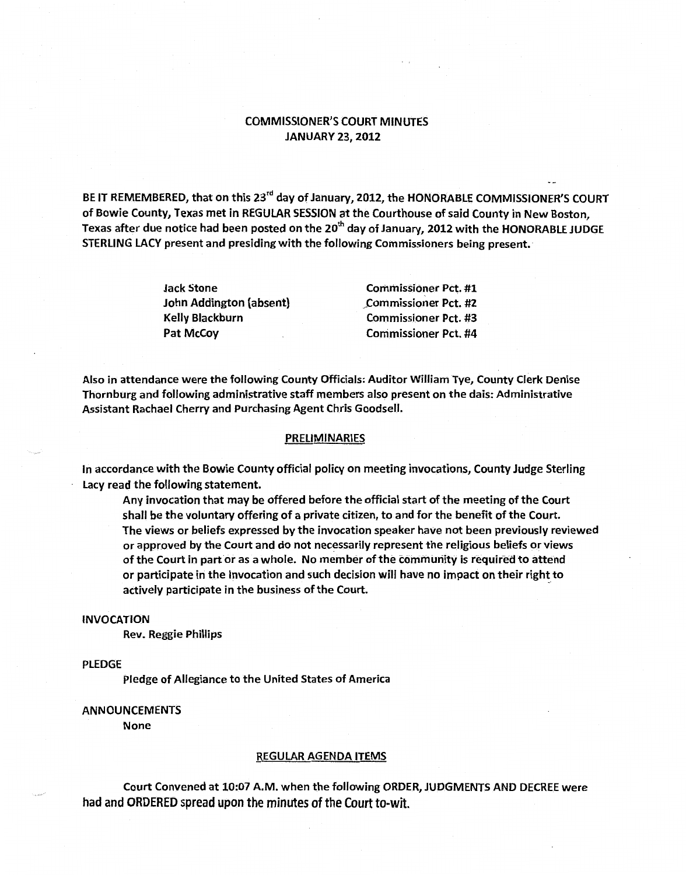# COMMISSIONER'S COURT MINUTES JANUARY 23, 2012

BE IT REMEMBERED, that on this 23<sup>rd</sup> day of January, 2012, the HONORABLE COMMISSIONER'S COURT of Bowie County, Texas met in REGULAR SESSION at the Courthouse of said County in New Boston, Texas after due notice had been posted on the 20<sup>th</sup> day of January, 2012 with the HONORABLE JUDGE STERLING LACY present and presiding with the following Commissioners being present.

| <b>Jack Stone</b>       | <b>Commissioner Pct. #1</b> |
|-------------------------|-----------------------------|
| John Addington (absent) | <b>Commissioner Pct. #2</b> |
| Kelly Blackburn         | <b>Commissioner Pct. #3</b> |
| Pat McCoy               | <b>Commissioner Pct. #4</b> |

Also in attendance were the following County Officials: Auditor William Tye, County Clerk Denise Thornburg and following administrative staff members also present on the dais: Administrative Assistant Rachael Cherry and Purchasing Agent Chris Goodsell.

#### PRELIMINARIES

In accordance with the Bowie County official policy on meeting invocations, County Judge Sterling lacy read the following statement.

Any invocation that may be offered before the official start of the meeting of the Court shall be the voluntary offering of a private citizen, to and for the benefit of the Court. The views or beliefs expressed by the invocation speaker have not been previously reviewed or approved by the Court and do not necessarily represent the religious beliefs or views of the Court in part or as a whole. No member of the community is required to attend or participate in the Invocation and such decision will have no impact on their right to actively participate in the business of the Court.

#### INVOCATION

Rev. Reggie Phillips

### PLEDGE

Pledge of Allegiance to the United States of America

## ANNOUNCEMENTS

None

#### REGULAR AGENDA ITEMS

Court Convened at 10:07 A.M. when the following ORDER, JUDGMENTS AND DECREE were had and ORDERED spread upon the minutes of the Court to-wit.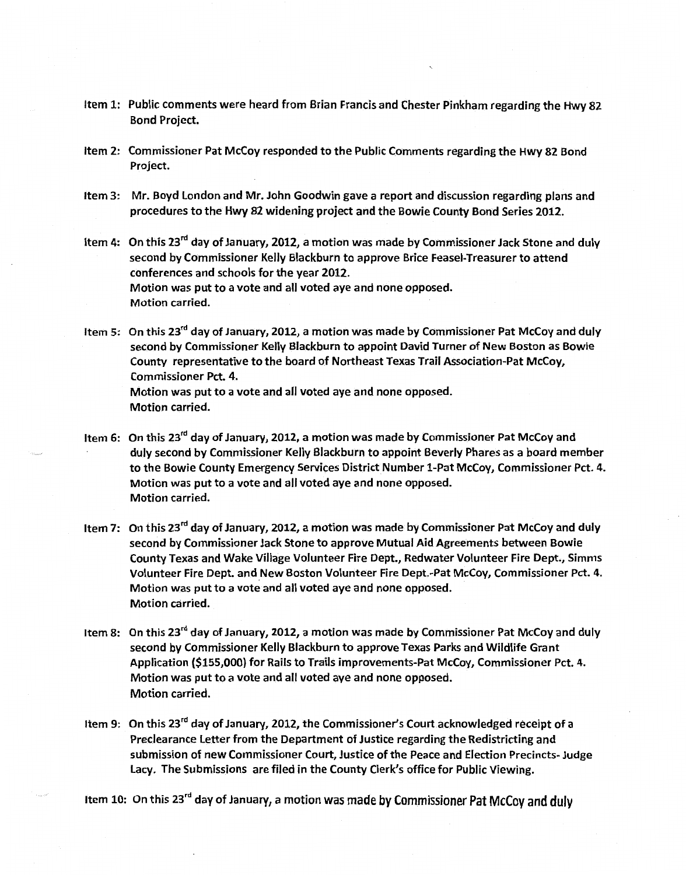- Item 1: Public comments were heard from Brian Francis and Chester Pinkham regarding the Hwy 82 Bond Project.
- Item 2: Commissioner Pat McCoy responded to the Public Comments regarding the Hwy 82 Bond Project.
- Item 3: Mr. Boyd london and Mr. John Goodwin gave a report and discussion regarding plans and procedures to the Hwy 82 widening project and the Bowie County Bond Series 2012.
- Item 4: On this 23<sup>rd</sup> day of January, 2012, a motion was made by Commissioner Jack Stone and duly second by Commissioner Kelly Blackburn to approve Brice Feasel-Treasurer to attend conferences and schools for the year 2012. Motion was put to a vote and all voted aye and none opposed. Motion carried.
- Item 5: On this 23<sup>rd</sup> day of January, 2012, a motion was made by Commissioner Pat McCoy and duly second by Commissioner Kelly Blackburn to appoint David Turner of New Boston as Bowie County representative to the board of Northeast Texas Trail Association-Pat McCoy, Commissioner Pet. 4. Motion was put to a vote and all voted aye and none opposed. Motion carried.
- Item 6: On this 23<sup>rd</sup> day of January, 2012, a motion was made by Commissioner Pat McCoy and duly second by Commissioner Kelly Blackburn to appoint Beverly Phares as a board member to the Bowie County Emergency Services District Number 1-Pat McCoy, Commissioner Pet. 4. Motion was put to a vote and all voted aye and none opposed. Motion carried.
- Item 7: On this 23<sup>rd</sup> day of January, 2012, a motion was made by Commissioner Pat McCoy and duly second by Commissioner Jack Stone to approve Mutual Aid Agreements between Bowie County Texas and Wake Village Volunteer Fire Dept., Redwater Volunteer Fire Dept., Simms Volunteer Fire Dept. and New Boston Volunteer Fire Dept.-Pat McCoy, Commissioner Pet. 4. Motion was put to a vote and all voted aye and none opposed. Motion carried.
- Item 8: On this 23<sup>rd</sup> day of January, 2012, a motion was made by Commissioner Pat McCoy and duly second by Commissioner Kelly Blackburn to approve Texas Parks and Wildlife Grant Application (\$155,000) for Rails to Trails improvements-Pat McCoy, Commissioner Pet. 4. Motion was put to a vote and all voted aye and none opposed. Motion carried.
- Item 9: On this 23<sup>rd</sup> day of January, 2012, the Commissioner's Court acknowledged receipt of a Preclearance letter from the Department of Justice regarding the Redistricting and submission of new Commissioner Court, Justice of the Peace and Election Precincts- Judge lacy. The Submissions are filed in the County Clerk's office for Public Viewing.

Item 10: On this 23<sup>rd</sup> day of January, a motion was made by Commissioner Pat McCoy and duly